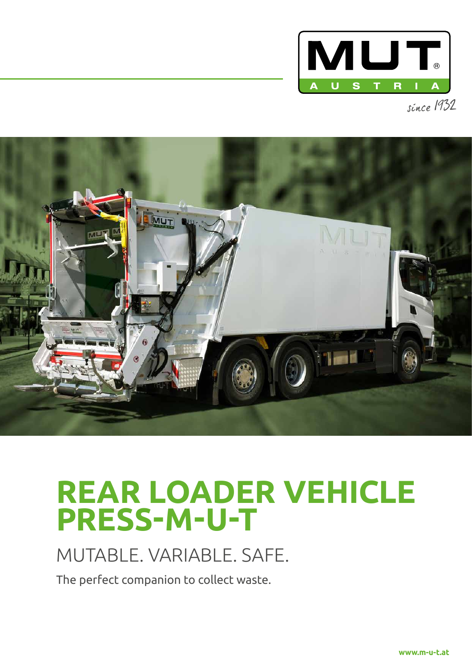



# **REAR LOADER VEHICLE PRESS-M-U-T**

### MUTABLE. VARIABLE. SAFE.

The perfect companion to collect waste.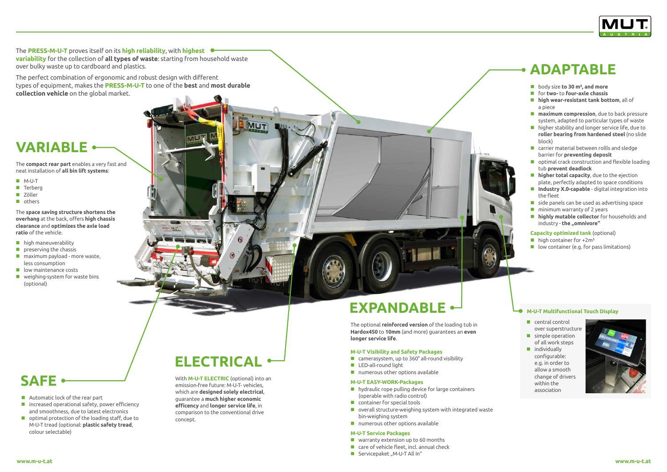The **PRESS-M-U-T** proves itself on its **high reliability**, with **highest variability** for the collection of **all types of waste**: starting from household waste over bulky waste up to cardboard and plastics.

The perfect combination of ergonomic and robust design with different types of equipment, makes the **PRESS-M-U-T** to one of the **best** and **most durable collection vehicle** on the global market.

- $\blacksquare$  high maneuverability
- $\blacksquare$  preserving the chassis
- **n** maximum payload more waste, less consumption
- $\blacksquare$  low maintenance costs
- **Now weighing-system for waste bins** (optional)

**Automatic lock of the rear part** 

The **compact rear part** enables a very fast and neat installation of **all bin lift systems**:

- M-U-T
- **Terberg**
- **Zöller**
- **n** others

The **space saving structure shortens the overhang** at the back, offers **high chassis clearance** and **optimizes the axle load ratio** of the vehicle.

> The optional **reinforced version** of the loading tub in **Hardox450** to **10mm** (and more) guarantees an **even longer service life**.

 $\blacksquare$  increased operational safety, power efficiency and smoothness, due to latest electronics ■ optimal protection of the loading staff, due to M-U-T tread (optional: **plastic safety tread**,

#### **M-U-T Visibility and Safety Packages**

- camerasystem, up to 360° all-round visibility
- **LED-all-round light**
- $\blacksquare$  numerous other options available

### **M-U-T EASY-WORK-Packages**

- **hydraulic rope pulling device for large containers** (operable with radio control)
- **Container for special tools**
- overall structure-weighing system with integrated waste bin-weighing system
- numerous other options available

### **M-U-T Service Packages**

- warranty extension up to 60 months
- care of vehicle fleet, incl. annual check
- Servicepaket "M-U-T All In"



- central control over superstructure
- simple operation of all work steps
- ndividually configurable: e.g. in order to allow a smooth change of drivers within the association



With **M-U-T ELECTRIC** (optional) into an emission-free future: M-U-T- vehicles, which are **designed solely electrical**, guarantee a **much higher economic efficency** and **longer service life**, in comparison to the conventional drive concept.

## **EXPANDABLE**  $\leftarrow$  **L**<sub>**M-U-T Multifunctional Touch Display**</sub>

colour selectable)

### **Capacity optimized tank** (optional)

- $\blacksquare$  high container for  $+2m^3$
- $\blacksquare$  low container (e.g. for pass limitations)

## **ELECTRICAL**

**MUT** 

**SAFE**

### **VARIABLE**

### **ADAPTABLE**

- **body size to 30 m<sup>3</sup>, and more**
- for **two-** to **four-axle chassis**
- **high wear-resistant tank bottom**, all of a piece
- **maximum compression**, due to back pressure system, adapted to particular types of waste
- higher stability and longer service life, due to **roller bearing from hardened steel** (no slide block)
- **E** carrier material between rollls and sledge barrier for **preventing deposit**
- optimal crack construction and flexible loading tub **prevent deadlock**
- **higher total capacity**, due to the ejection plate, perfectly adapted to space conditions
- **Industry X.0-capable** digital integration into the fleet
- $\blacksquare$  side panels can be used as advertising space
- $\blacksquare$  minimum warranty of 2 years
- **highly mutable collector** for households and industry - **the "omnivore"**

**www.m-u-t.at www.m-u-t.at**